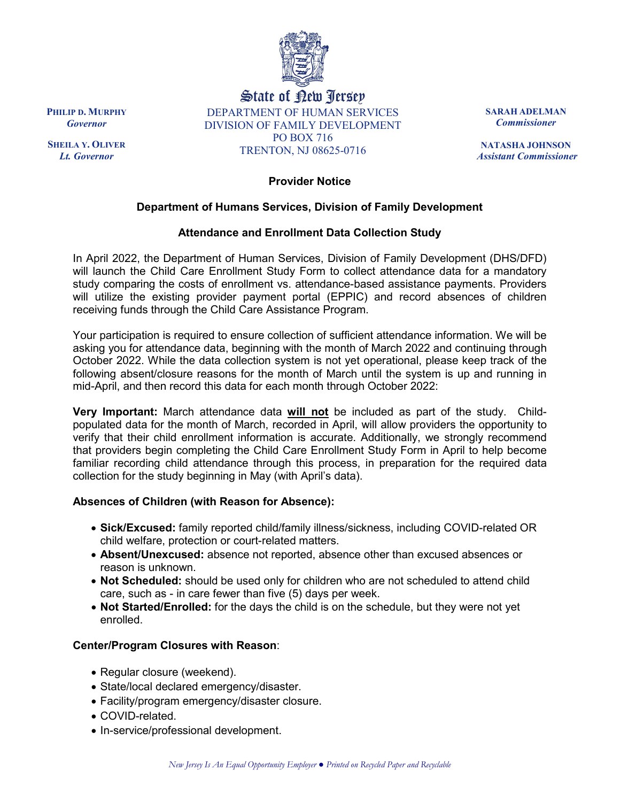

State of new Tersey DEPARTMENT OF HUMAN SERVICES DIVISION OF FAMILY DEVELOPMENT PO BOX 716 TRENTON, NJ 08625-0716

**SARAH ADELMAN** *Commissioner*

**NATASHA JOHNSON** *Assistant Commissioner*

**Provider Notice**

## **Department of Humans Services, Division of Family Development**

## **Attendance and Enrollment Data Collection Study**

In April 2022, the Department of Human Services, Division of Family Development (DHS/DFD) will launch the Child Care Enrollment Study Form to collect attendance data for a mandatory study comparing the costs of enrollment vs. attendance-based assistance payments. Providers will utilize the existing provider payment portal (EPPIC) and record absences of children receiving funds through the Child Care Assistance Program.

Your participation is required to ensure collection of sufficient attendance information. We will be asking you for attendance data, beginning with the month of March 2022 and continuing through October 2022. While the data collection system is not yet operational, please keep track of the following absent/closure reasons for the month of March until the system is up and running in mid-April, and then record this data for each month through October 2022:

**Very Important:** March attendance data **will not** be included as part of the study. Childpopulated data for the month of March, recorded in April, will allow providers the opportunity to verify that their child enrollment information is accurate. Additionally, we strongly recommend that providers begin completing the Child Care Enrollment Study Form in April to help become familiar recording child attendance through this process, in preparation for the required data collection for the study beginning in May (with April's data).

## **Absences of Children (with Reason for Absence):**

- **Sick/Excused:** family reported child/family illness/sickness, including COVID-related OR child welfare, protection or court-related matters.
- **Absent/Unexcused:** absence not reported, absence other than excused absences or reason is unknown.
- **Not Scheduled:** should be used only for children who are not scheduled to attend child care, such as - in care fewer than five (5) days per week.
- **Not Started/Enrolled:** for the days the child is on the schedule, but they were not yet enrolled.

## **Center/Program Closures with Reason**:

- Regular closure (weekend).
- State/local declared emergency/disaster.
- Facility/program emergency/disaster closure.
- COVID-related.
- In-service/professional development.

**SHEILA Y. OLIVER** *Lt. Governor*